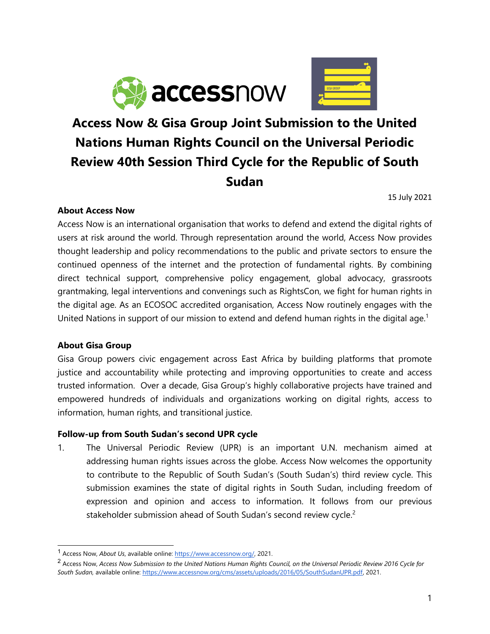



# **Access Now & Gisa Group Joint Submission to the United Nations Human Rights Council on the Universal Periodic Review 40th Session Third Cycle for the Republic of South Sudan**

15 July 2021

## **About Access Now**

Access Now is an international organisation that works to defend and extend the digital rights of users at risk around the world. Through representation around the world, Access Now provides thought leadership and policy recommendations to the public and private sectors to ensure the continued openness of the internet and the protection of fundamental rights. By combining direct technical support, comprehensive policy engagement, global advocacy, grassroots grantmaking, legal interventions and convenings such as RightsCon, we fight for human rights in the digital age. As an ECOSOC accredited organisation, Access Now routinely engages with the United Nations in support of our mission to extend and defend human rights in the digital age. 1

## **About Gisa Group**

Gisa Group powers civic engagemen<sup>t</sup> across East Africa by building platforms that promote justice and accountability while protecting and improving opportunities to create and access trusted information. Over <sup>a</sup> decade, Gisa Group'<sup>s</sup> highly collaborative projects have trained and empowered hundreds of individuals and organizations working on digital rights, access to information, human rights, and transitional justice.

## **Follow-up from South Sudan'<sup>s</sup> second UPR cycle**

1. The Universal Periodic Review (UPR) is an important U.N. mechanism aimed at addressing human rights issues across the globe. Access Now welcomes the opportunity to contribute to the Republic of South Sudan'<sup>s</sup> (South Sudan's) third review cycle. This submission examines the state of digital rights in South Sudan, including freedom of expression and opinion and access to information. It follows from our previous stakeholder submission ahead of South Sudan'<sup>s</sup> second review cycle. 2

<sup>1</sup> Access Now, *About Us*, available online: <https://www.accessnow.org/>, 2021.

<sup>&</sup>lt;sup>2</sup> Access Now, Access Now Submission to the United Nations Human Rights Council, on the Universal Periodic Review 2016 Cycle for *South Sudan,* available online: [https://www.accessnow.org/cms/assets/uploads/2016/05/SouthSudanUPR.pdf,](https://www.accessnow.org/cms/assets/uploads/2016/05/SouthSudanUPR.pdf) 2021.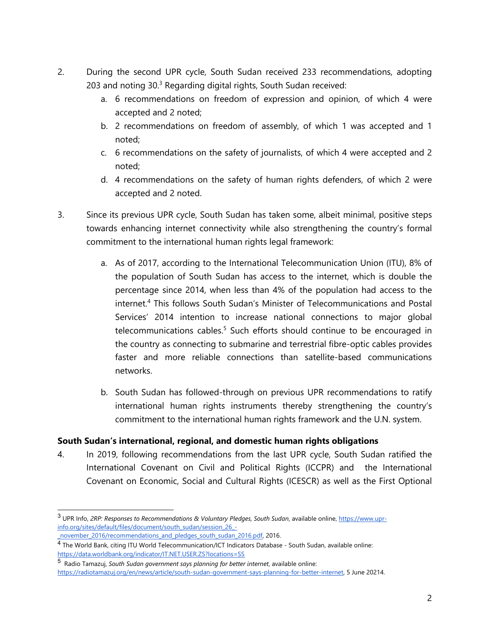- 2. During the second UPR cycle, South Sudan received 233 recommendations, adopting 203 and noting 30.<sup>3</sup> Regarding digital rights, South Sudan received:
	- a. 6 recommendations on freedom of expression and opinion, of which 4 were accepted and 2 noted;
	- b. 2 recommendations on freedom of assembly, of which 1 was accepted and 1 noted;
	- c. 6 recommendations on the safety of journalists, of which 4 were accepted and 2 noted;
	- d. 4 recommendations on the safety of human rights defenders, of which 2 were accepted and 2 noted.
- 3. Since its previous UPR cycle, South Sudan has taken some, albeit minimal, positive steps towards enhancing internet connectivity while also strengthening the country'<sup>s</sup> formal commitment to the international human rights legal framework:
	- a. As of 2017, according to the International Telecommunication Union (ITU), 8% of the population of South Sudan has access to the internet, which is double the percentage since 2014, when less than 4% of the population had access to the internet. 4 This follows South Sudan'<sup>s</sup> Minister of Telecommunications and Postal Services' 2014 intention to increase national connections to major global telecommunications cables.<sup>5</sup> Such efforts should continue to be encouraged in the country as connecting to submarine and terrestrial fibre-optic cables provides faster and more reliable connections than satellite-based communications networks.
	- b. South Sudan has followed-through on previous UPR recommendations to ratify international human rights instruments thereby strengthening the country'<sup>s</sup> commitment to the international human rights framework and the U.N. system.

# **South Sudan'<sup>s</sup> international, regional, and domestic human rights obligations**

4. In 2019, following recommendations from the last UPR cycle, South Sudan ratified the International Covenant on Civil and Political Rights (ICCPR) and the International Covenant on Economic, Social and Cultural Rights (ICESCR) as well as the First Optional

<sup>3</sup> UPR Info, *2RP: Responses to Recommendations & Voluntary Pledges, South Sudan*, available online, [https://www.upr](https://www.upr-info.org/sites/default/files/document/south_sudan/session_26_-_november_2016/recommendations_and_pledges_south_sudan_2016.pdf)[info.org/sites/default/files/document/south\\_sudan/session\\_26\\_-](https://www.upr-info.org/sites/default/files/document/south_sudan/session_26_-_november_2016/recommendations_and_pledges_south_sudan_2016.pdf)

\_[november\\_2016/recommendations\\_and\\_pledges\\_south\\_sudan\\_2016.pdf](https://www.upr-info.org/sites/default/files/document/south_sudan/session_26_-_november_2016/recommendations_and_pledges_south_sudan_2016.pdf), 2016.

<sup>4</sup> The World Bank, citing ITU World Telecommunication/ICT Indicators Database - South Sudan, available online: <https://data.worldbank.org/indicator/IT.NET.USER.ZS?locations=SS>

<sup>5</sup> Radio Tamazuj, *South Sudan governmen<sup>t</sup> says planning for better internet*, available online:

<https://radiotamazuj.org/en/news/article/south-sudan-government-says-planning-for-better-internet>, 5 June 20214.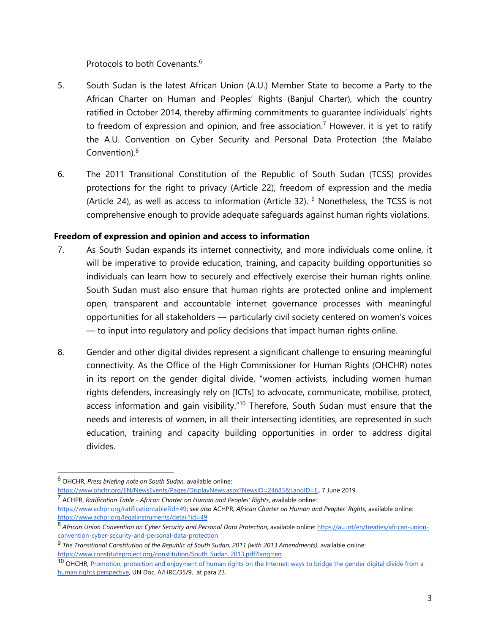Protocols to both Covenants. 6

- 5. South Sudan is the latest African Union (A.U.) Member State to become <sup>a</sup> Party to the African Charter on Human and Peoples' Rights (Banjul Charter), which the country ratified in October 2014, thereby affirming commitments to guarantee individuals' rights to freedom of expression and opinion, and free association. 7 However, it is ye<sup>t</sup> to ratify the A.U. Convention on Cyber Security and Personal Data Protection (the Malabo Convention). 8
- 6. The 2011 Transitional Constitution of the Republic of South Sudan (TCSS) provides protections for the right to privacy (Article 22), freedom of expression and the media (Article 24), as well as access to information (Article 32). <sup>9</sup> Nonetheless, the TCSS is not comprehensive enough to provide adequate safeguards against human rights violations.

# **Freedom of expression and opinion and access to information**

- 7. As South Sudan expands its internet connectivity, and more individuals come online, it will be imperative to provide education, training, and capacity building opportunities so individuals can learn how to securely and effectively exercise their human rights online. South Sudan must also ensure that human rights are protected online and implement open, transparent and accountable internet governance processes with meaningful opportunities for all stakeholders — particularly civil society centered on women'<sup>s</sup> voices — to input into regulatory and policy decisions that impact human rights online.
- 8. Gender and other digital divides represent <sup>a</sup> significant challenge to ensuring meaningful connectivity. As the Office of the High Commissioner for Human Rights (OHCHR) notes in its report on the gender digital divide, "women activists, including women human rights defenders, increasingly rely on [ICTs] to advocate, communicate, mobilise, protect, access information and gain visibility."<sup>10</sup> Therefore, South Sudan must ensure that the needs and interests of women, in all their intersecting identities, are represented in such education, training and capacity building opportunities in order to address digital divides.

<sup>6</sup> OHCHR, *Press briefing note on South Sudan,* available online:

<https://www.ohchr.org/EN/NewsEvents/Pages/DisplayNews.aspx?NewsID=24683&LangID=E>, 7 June 2019. 7 ACHPR, *Ratification Table - African Charter on Human and Peoples' Rights*, available online:

<https://www.achpr.org/ratificationtable?id=49>; *see also* ACHPR, *African Charter on Human and Peoples' Rights*, available online: <https://www.achpr.org/legalinstruments/detail?id=49>

<sup>8</sup> *African Union Convention on Cyber Security and Personal Data Protection*, available online: [https://au.int/en/treaties/african-union](https://au.int/en/treaties/african-union-convention-cyber-security-and-personal-data-protection)[convention-cyber-security-and-personal-data-protection](https://au.int/en/treaties/african-union-convention-cyber-security-and-personal-data-protection)

<sup>9</sup> *The Transitional Constitution of the Republic of South Sudan, 2011 (with 2013 Amendments)*, available online: [https://www.constituteproject.org/constitution/South\\_Sudan\\_2013.pdf?lang=en](https://www.constituteproject.org/constitution/South_Sudan_2013.pdf?lang=en)

<sup>&</sup>lt;sup>10</sup> OHCHR, Promotion, protection and [enjoyment](https://undocs.org/A/HRC/35/9) of human rights on the Internet: ways to bridge the gender digital divide from a human rights [perspective](https://undocs.org/A/HRC/35/9), UN Doc. A/HRC/35/9, at para 23.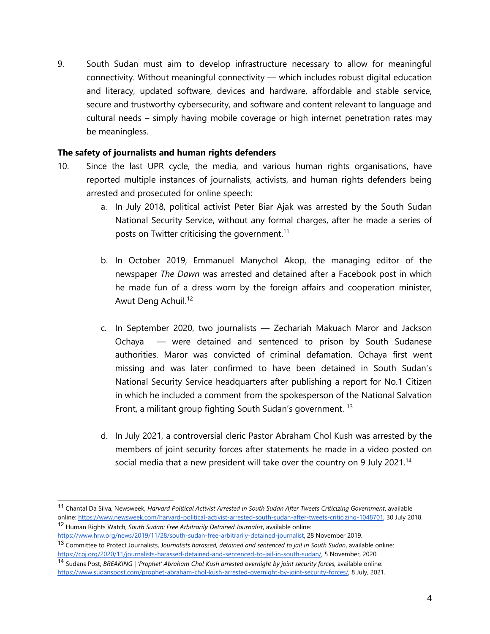9. South Sudan must aim to develop infrastructure necessary to allow for meaningful connectivity. Without meaningful connectivity — which includes robust digital education and literacy, updated software, devices and hardware, affordable and stable service, secure and trustworthy cybersecurity, and software and content relevant to language and cultural needs – simply having mobile coverage or high internet penetration rates may be meaningless.

#### **The safety of journalists and human rights defenders**

- 10. Since the last UPR cycle, the media, and various human rights organisations, have reported multiple instances of journalists, activists, and human rights defenders being arrested and prosecuted for online speech:
	- a. In July 2018, political activist Peter Biar Ajak was arrested by the South Sudan National Security Service, without any formal charges, after he made <sup>a</sup> series of posts on Twitter criticising the government. $^{\rm 11}$
	- b. In October 2019, Emmanuel Manychol Akop, the managing editor of the newspaper *The Dawn* was arrested and detained after <sup>a</sup> Facebook post in which he made fun of <sup>a</sup> dress worn by the foreign affairs and cooperation minister, Awut Deng Achuil. 12
	- c. In September 2020, two journalists Zechariah Makuach Maror and Jackson Ochaya — were detained and sentenced to prison by South Sudanese authorities. Maror was convicted of criminal defamation. Ochaya first went missing and was later confirmed to have been detained in South Sudan'<sup>s</sup> National Security Service headquarters after publishing <sup>a</sup> report for No.1 Citizen in which he included <sup>a</sup> comment from the spokesperson of the National Salvation Front, a militant group fighting South Sudan's government. <sup>13</sup>
	- d. In July 2021, <sup>a</sup> controversial cleric Pastor Abraham Chol Kush was arrested by the members of joint security forces after statements he made in <sup>a</sup> video posted on social media that <sup>a</sup> new president will take over the country on 9 July 2021. 14

<sup>11</sup> Chantal Da Silva, Newsweek, *Harvard Political Activist Arrested in South Sudan After Tweets Criticizing Government*, available online: <https://www.newsweek.com/harvard-political-activist-arrested-south-sudan-after-tweets-criticizing-1048701>, 30 July 2018. 12 Human Rights Watch, *South Sudan: Free Arbitrarily Detained Journalist*, available online:

<https://www.hrw.org/news/2019/11/28/south-sudan-free-arbitrarily-detained-journalist>, 28 November 2019. 13 Committee to Protect Journalists, J*ournalists harassed, detained and sentenced to jail in South Sudan*, available online:

[https://cpj.org/2020/11/journalists-harassed-detained-and-sentenced-to-jail-in-south-sudan/,](https://cpj.org/2020/11/journalists-harassed-detained-and-sentenced-to-jail-in-south-sudan/) 5 November, 2020. 14 Sudans Post, *BREAKING | 'Prophet' Abraham Chol Kush arrested overnight by joint security forces*, available online:

<https://www.sudanspost.com/prophet-abraham-chol-kush-arrested-overnight-by-joint-security-forces/>, 8 July, 2021.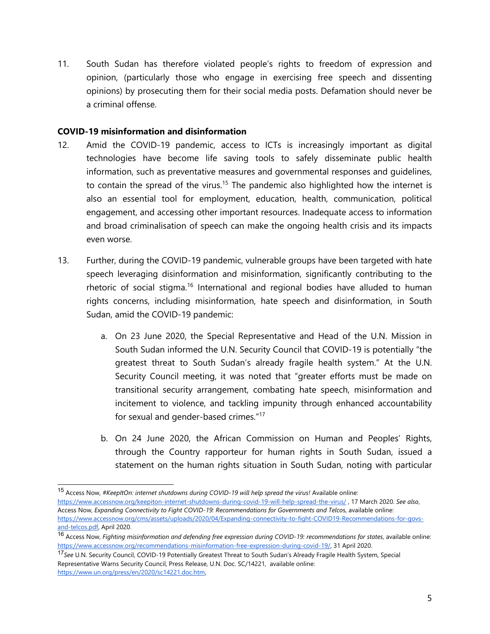11. South Sudan has therefore violated people'<sup>s</sup> rights to freedom of expression and opinion, (particularly those who engage in exercising free speech and dissenting opinions) by prosecuting them for their social media posts. Defamation should never be <sup>a</sup> criminal offense.

#### **COVID-19 misinformation and disinformation**

- 12. Amid the COVID-19 pandemic, access to ICTs is increasingly important as digital technologies have become life saving tools to safely disseminate public health information, such as preventative measures and governmental responses and guidelines, to contain the spread of the virus.<sup>15</sup> The pandemic also highlighted how the internet is also an essential tool for employment, education, health, communication, political engagement, and accessing other important resources. Inadequate access to information and broad criminalisation of speech can make the ongoing health crisis and its impacts even worse.
- 13. Further, during the COVID-19 pandemic, vulnerable groups have been targeted with hate speech leveraging disinformation and misinformation, significantly contributing to the rhetoric of social stigma.<sup>16</sup> International and regional bodies have alluded to human rights concerns, including misinformation, hate speech and disinformation, in South Sudan, amid the COVID-19 pandemic:
	- a. On 23 June 2020, the Special Representative and Head of the U.N. Mission in South Sudan informed the U.N. Security Council that COVID-19 is potentially "the greatest threat to South Sudan'<sup>s</sup> already fragile health system." At the U.N. Security Council meeting, it was noted that "greater efforts must be made on transitional security arrangement, combating hate speech, misinformation and incitement to violence, and tackling impunity through enhanced accountability for sexual and gender-based crimes."<sup>17</sup>
	- b. On 24 June 2020, the African Commission on Human and Peoples' Rights, through the Country rapporteur for human rights in South Sudan, issued <sup>a</sup> statement on the human rights situation in South Sudan, noting with particular

<sup>15</sup> Access Now, *#KeepItOn: internet shutdowns during COVID-19 will help spread the virus!* Available online:

<https://www.accessnow.org/keepiton-internet-shutdowns-during-covid-19-will-help-spread-the-virus/> , 17 March 2020. *See also*, Access Now, *Expanding Connectivity to Fight COVID-19: Recommendations for Governments and Telco*s, available online: [https://www.accessnow.org/cms/assets/uploads/2020/04/Expanding-connectivity-to-fight-COVID19-Recommendations-for-govs](https://www.accessnow.org/cms/assets/uploads/2020/04/Expanding-connectivity-to-fight-COVID19-Recommendations-for-govs-and-telcos.pdf)[and-telcos.pdf,](https://www.accessnow.org/cms/assets/uploads/2020/04/Expanding-connectivity-to-fight-COVID19-Recommendations-for-govs-and-telcos.pdf) April 2020.

<sup>16</sup> Access Now, *Fighting misinformation and defending free expression during COVID-19: recommendations for states*, available online: <https://www.accessnow.org/recommendations-misinformation-free-expression-during-covid-19/>, 31 April 2020.

<sup>17</sup> *See* U.N. Security Council, COVID-19 Potentially Greatest Threat to South Sudan'<sup>s</sup> Already Fragile Health System, Special Representative Warns Security Council, Press Release, U.N. Doc. SC/14221, available online: <https://www.un.org/press/en/2020/sc14221.doc.htm>,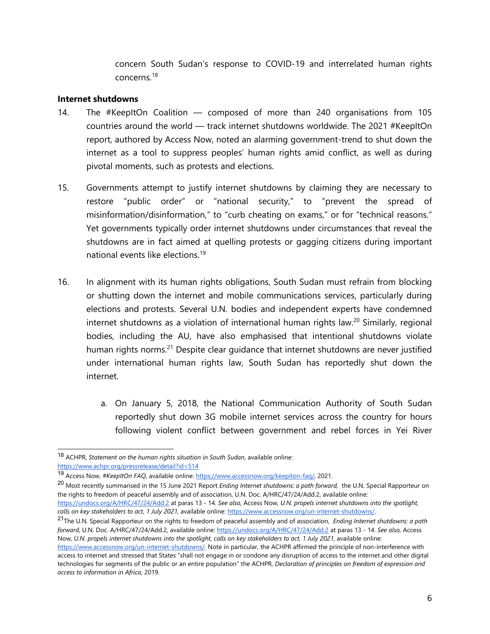concern South Sudan'<sup>s</sup> response to COVID-19 and interrelated human rights concerns.<sup>18</sup>

#### **Internet shutdowns**

- 14. The #KeepItOn Coalition composed of more than 240 organisations from 105 countries around the world — track internet shutdowns worldwide. The 2021 #KeepItOn report, authored by Access Now, noted an alarming government-trend to shut down the internet as <sup>a</sup> tool to suppress peoples' human rights amid conflict, as well as during pivotal moments, such as protests and elections.
- 15. Governments attempt to justify internet shutdowns by claiming they are necessary to restore "public order" or "national security," to "prevent the spread of misinformation/disinformation," to "curb cheating on exams," or for "technical reasons." Yet governments typically order internet shutdowns under circumstances that reveal the shutdowns are in fact aimed at quelling protests or gagging citizens during important national events like elections.<sup>19</sup>
- 16. In alignment with its human rights obligations, South Sudan must refrain from blocking or shutting down the internet and mobile communications services, particularly during elections and protests. Several U.N. bodies and independent experts have condemned internet shutdowns as <sup>a</sup> violation of international human rights law. 20 Similarly, regional bodies, including the AU, have also emphasised that intentional shutdowns violate human rights norms.<sup>21</sup> Despite clear guidance that internet shutdowns are never justified under international human rights law, South Sudan has reportedly shut down the internet.
	- a. On January 5, 2018, the National Communication Authority of South Sudan reportedly shut down 3G mobile internet services across the country for hours following violent conflict between governmen<sup>t</sup> and rebel forces in Yei River

<sup>18</sup> ACHPR, *Statement on the human rights situation in South Sudan*, available online: <https://www.achpr.org/pressrelease/detail?id=514>

<sup>19</sup> Access Now, *#KeepItOn FAQ*, available online: <https://www.accessnow.org/keepiton-faq/>, 2021.

<sup>20</sup> Most recently summarised in the <sup>15</sup> June <sup>2021</sup> Report *Ending Internet shutdowns: <sup>a</sup> path forward,* the U.N. Special Rapporteur on the rights to freedom of peaceful assembly and of association, U.N. Doc. A/HRC/47/24/Add.2, available online:

<https://undocs.org/A/HRC/47/24/Add.2> at paras 13 - 14. *See also,* Access Now, *U.N. propels internet shutdowns into the spotlight, calls on key stakeholders to act, 1 July 2021,* available online: <https://www.accessnow.org/un-internet-shutdowns/>.

<sup>21</sup> The U.N. Special Rapporteur on the rights to freedom of peaceful assembly and of association, *Ending Internet shutdowns: <sup>a</sup> path forward,* U.N. Doc. A/HRC/47/24/Add.2, available online: <https://undocs.org/A/HRC/47/24/Add.2> at paras 13 - 14. *See also,* Access Now, U.N. propels internet shutdowns into the spotlight, calls on key stakeholders to act, 1 July 2021, available online:

<https://www.accessnow.org/un-internet-shutdowns/>. Note in particular, the ACHPR affirmed the principle of non-interference with access to internet and stressed that States "shall not engage in or condone any disruption of access to the internet and other digital technologies for segments of the public or an entire population" the ACHPR, *Declaration of principles on freedom of expression and access to information in Africa,* 2019.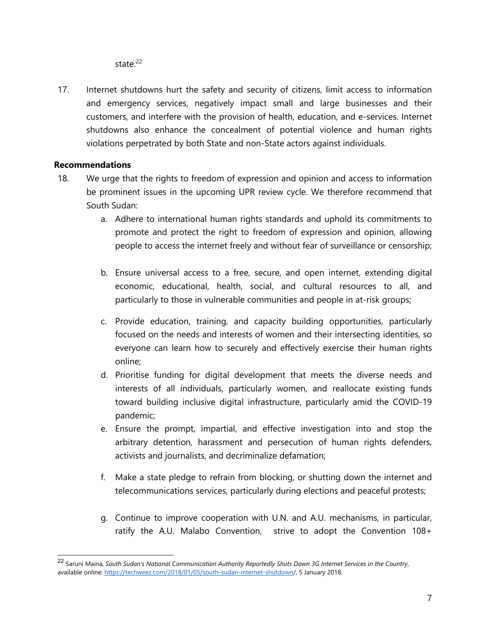state.<sup>22</sup>

17. Internet shutdowns hurt the safety and security of citizens, limit access to information and emergency services, negatively impact small and large businesses and their customers, and interfere with the provision of health, education, and e-services. Internet shutdowns also enhance the concealment of potential violence and human rights violations perpetrated by both State and non-State actors against individuals.

# **Recommendations**

- 18. We urge that the rights to freedom of expression and opinion and access to information be prominent issues in the upcoming UPR review cycle. We therefore recommend that South Sudan:
	- a. Adhere to international human rights standards and uphold its commitments to promote and protect the right to freedom of expression and opinion, allowing people to access the internet freely and without fear of surveillance or censorship;
	- b. Ensure universal access to <sup>a</sup> free, secure, and open internet, extending digital economic, educational, health, social, and cultural resources to all, and particularly to those in vulnerable communities and people in at-risk groups;
	- c. Provide education, training, and capacity building opportunities, particularly focused on the needs and interests of women and their intersecting identities, so everyone can learn how to securely and effectively exercise their human rights online;
	- d. Prioritise funding for digital development that meets the diverse needs and interests of all individuals, particularly women, and reallocate existing funds toward building inclusive digital infrastructure, particularly amid the COVID-19 pandemic;
	- e. Ensure the prompt, impartial, and effective investigation into and stop the arbitrary detention, harassment and persecution of human rights defenders, activists and journalists, and decriminalize defamation;
	- f. Make <sup>a</sup> state pledge to refrain from blocking, or shutting down the internet and telecommunications services, particularly during elections and peaceful protests;
	- g. Continue to improve cooperation with U.N. and A.U. mechanisms, in particular, ratify the A.U. Malabo Convention, strive to adopt the Convention 108+

<sup>&</sup>lt;sup>22</sup> Saruni Maina, South Sudan's National Communication Authority Reportedly Shuts Down 3G Internet Services in the Country, available online: <https://techweez.com/2018/01/05/south-sudan-internet-shutdown/>, 5 January 2018.